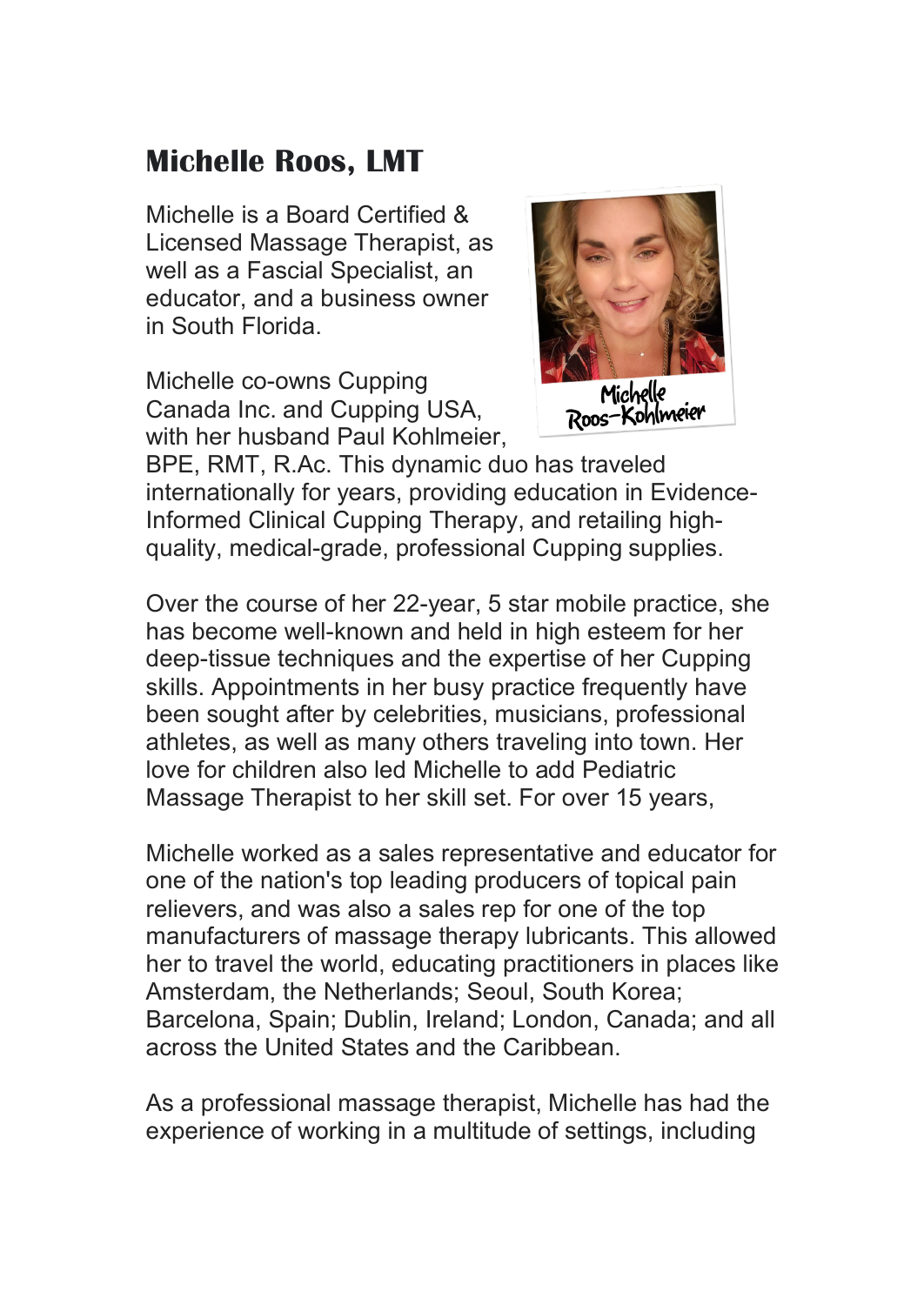## **Michelle Roos, LMT**

Michelle is a Board Certified & Licensed Massage Therapist, as well as a Fascial Specialist, an educator, and a business owner in South Florida.

Michelle co-owns Cupping Canada Inc. and Cupping USA, with her husband Paul Kohlmeier.



BPE, RMT, R.Ac. This dynamic duo has traveled internationally for years, providing education in Evidence-Informed Clinical Cupping Therapy, and retailing highquality, medical-grade, professional Cupping supplies.

Over the course of her 22-year, 5 star mobile practice, she has become well-known and held in high esteem for her deep-tissue techniques and the expertise of her Cupping skills. Appointments in her busy practice frequently have been sought after by celebrities, musicians, professional athletes, as well as many others traveling into town. Her love for children also led Michelle to add Pediatric Massage Therapist to her skill set. For over 15 years,

Michelle worked as a sales representative and educator for one of the nation's top leading producers of topical pain relievers, and was also a sales rep for one of the top manufacturers of massage therapy lubricants. This allowed her to travel the world, educating practitioners in places like Amsterdam, the Netherlands; Seoul, South Korea; Barcelona, Spain; Dublin, Ireland; London, Canada; and all across the United States and the Caribbean.

As a professional massage therapist, Michelle has had the experience of working in a multitude of settings, including